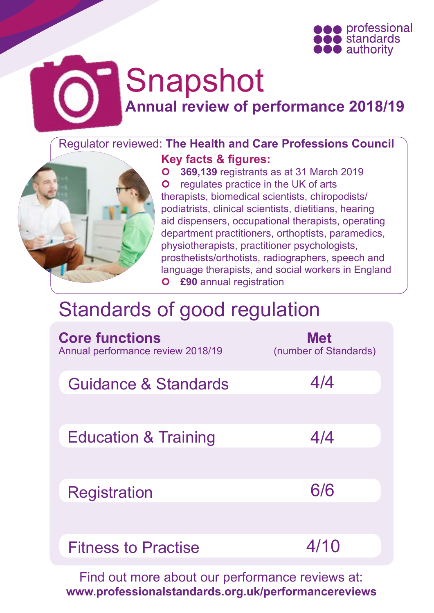

# Snapshot **Annual review of performance 2018/19**

## Regulator reviewed: **The Health and Care Professions Council**



**Key facts & figures: 369,139** registrants as at 31 March 2019 **O** regulates practice in the UK of arts therapists, biomedical scientists, chiropodists/ podiatrists, clinical scientists, dietitians, hearing aid dispensers, occupational therapists, operating department practitioners, orthoptists, paramedics, physiotherapists, practitioner psychologists, prosthetists/orthotists, radiographers, speech and language therapists, and social workers in England **£90** annual registration

## [Standards of good regulation](http://www.professionalstandards.org.uk/publications/our-standards)

| <b>Core functions</b><br>Annual performance review 2018/19 | <b>Met</b><br>(number of Standards) |
|------------------------------------------------------------|-------------------------------------|
| Guidance & Standards                                       | 4/4                                 |
| <b>Education &amp; Training</b>                            | 4/4                                 |
| Registration                                               | 6/6                                 |
| <b>Fitness to Practise</b>                                 | 4/10                                |

Find out more about our performance reviews at: **[www.professionalstandards.org.uk/performancereviews](http://www.professionalstandards.org.uk/performancereviews)**